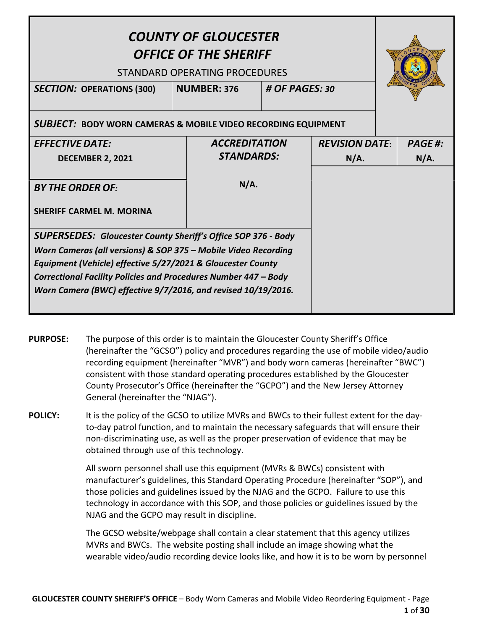| <b>COUNTY OF GLOUCESTER</b><br><b>OFFICE OF THE SHERIFF</b><br>STANDARD OPERATING PROCEDURES<br><b>NUMBER: 376</b><br># OF PAGES: 30<br><b>SECTION: OPERATIONS (300)</b>                                                                                                                                                                  |  |                      |  |                       |  |               |
|-------------------------------------------------------------------------------------------------------------------------------------------------------------------------------------------------------------------------------------------------------------------------------------------------------------------------------------------|--|----------------------|--|-----------------------|--|---------------|
| <b>SUBJECT: BODY WORN CAMERAS &amp; MOBILE VIDEO RECORDING EQUIPMENT</b>                                                                                                                                                                                                                                                                  |  |                      |  |                       |  |               |
| <b>EFFECTIVE DATE:</b>                                                                                                                                                                                                                                                                                                                    |  | <b>ACCREDITATION</b> |  | <b>REVISION DATE:</b> |  | <b>PAGE#:</b> |
| <b>DECEMBER 2, 2021</b>                                                                                                                                                                                                                                                                                                                   |  | <b>STANDARDS:</b>    |  | N/A.                  |  | N/A.          |
| <b>BY THE ORDER OF:</b><br><b>SHERIFF CARMEL M. MORINA</b>                                                                                                                                                                                                                                                                                |  | N/A.                 |  |                       |  |               |
| <b>SUPERSEDES: Gloucester County Sheriff's Office SOP 376 - Body</b><br>Worn Cameras (all versions) & SOP 375 - Mobile Video Recording<br>Equipment (Vehicle) effective 5/27/2021 & Gloucester County<br>Correctional Facility Policies and Procedures Number 447 - Body<br>Worn Camera (BWC) effective 9/7/2016, and revised 10/19/2016. |  |                      |  |                       |  |               |

**PURPOSE:** The purpose of this order is to maintain the Gloucester County Sheriff's Office (hereinafter the "GCSO") policy and procedures regarding the use of mobile video/audio recording equipment (hereinafter "MVR") and body worn cameras (hereinafter "BWC") consistent with those standard operating procedures established by the Gloucester County Prosecutor's Office (hereinafter the "GCPO") and the New Jersey Attorney General (hereinafter the "NJAG").

**POLICY:** It is the policy of the GCSO to utilize MVRs and BWCs to their fullest extent for the dayto-day patrol function, and to maintain the necessary safeguards that will ensure their non-discriminating use, as well as the proper preservation of evidence that may be obtained through use of this technology.

> All sworn personnel shall use this equipment (MVRs & BWCs) consistent with manufacturer's guidelines, this Standard Operating Procedure (hereinafter "SOP"), and those policies and guidelines issued by the NJAG and the GCPO. Failure to use this technology in accordance with this SOP, and those policies or guidelines issued by the NJAG and the GCPO may result in discipline.

The GCSO website/webpage shall contain a clear statement that this agency utilizes MVRs and BWCs.The website posting shall include an image showing what the wearable video/audio recording device looks like, and how it is to be worn by personnel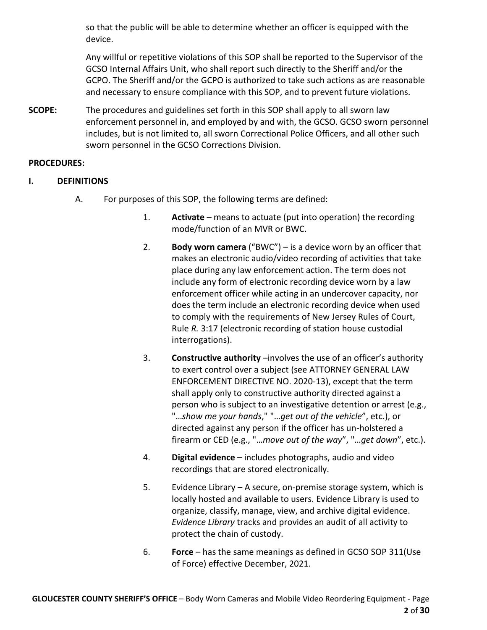so that the public will be able to determine whether an officer is equipped with the device.

Any willful or repetitive violations of this SOP shall be reported to the Supervisor of the GCSO Internal Affairs Unit, who shall report such directly to the Sheriff and/or the GCPO. The Sheriff and/or the GCPO is authorized to take such actions as are reasonable and necessary to ensure compliance with this SOP, and to prevent future violations.

**SCOPE:** The procedures and guidelines set forth in this SOP shall apply to all sworn law enforcement personnel in, and employed by and with, the GCSO. GCSO sworn personnel includes, but is not limited to, all sworn Correctional Police Officers, and all other such sworn personnel in the GCSO Corrections Division.

#### **PROCEDURES:**

- **I. DEFINITIONS**
	- A. For purposes of this SOP, the following terms are defined:
		- 1. **Activate** means to actuate (put into operation) the recording mode/function of an MVR or BWC.
		- 2. **Body worn camera** ("BWC") is a device worn by an officer that makes an electronic audio/video recording of activities that take place during any law enforcement action. The term does not include any form of electronic recording device worn by a law enforcement officer while acting in an undercover capacity, nor does the term include an electronic recording device when used to comply with the requirements of New Jersey Rules of Court, Rule *R.* 3:17 (electronic recording of station house custodial interrogations).
		- 3. **Constructive authority** –involves the use of an officer's authority to exert control over a subject (see ATTORNEY GENERAL LAW ENFORCEMENT DIRECTIVE NO. 2020-13), except that the term shall apply only to constructive authority directed against a person who is subject to an investigative detention or arrest (e.g., "…*show me your hands*," "…*get out of the vehicle*", etc.), or directed against any person if the officer has un-holstered a firearm or CED (e.g., "…*move out of the way*", "…*get down*", etc.).
		- 4. **Digital evidence** includes photographs, audio and video recordings that are stored electronically.
		- 5. Evidence Library A secure, on-premise storage system, which is locally hosted and available to users. Evidence Library is used to organize, classify, manage, view, and archive digital evidence. *Evidence Library* tracks and provides an audit of all activity to protect the chain of custody.
		- 6. **Force** has the same meanings as defined in GCSO SOP 311(Use of Force) effective December, 2021.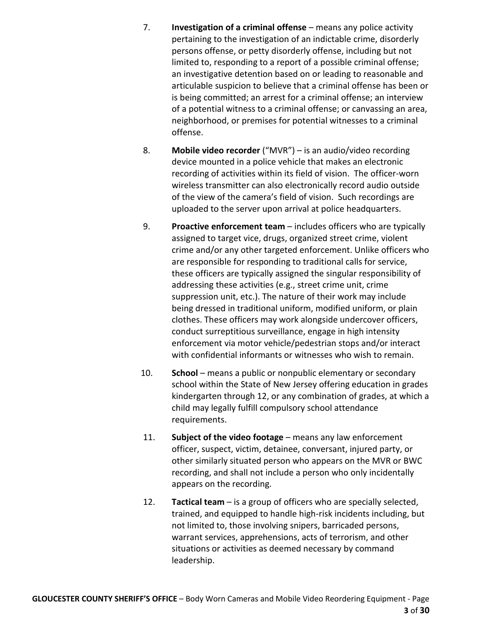- 7. **Investigation of a criminal offense** means any police activity pertaining to the investigation of an indictable crime, disorderly persons offense, or petty disorderly offense, including but not limited to, responding to a report of a possible criminal offense; an investigative detention based on or leading to reasonable and articulable suspicion to believe that a criminal offense has been or is being committed; an arrest for a criminal offense; an interview of a potential witness to a criminal offense; or canvassing an area, neighborhood, or premises for potential witnesses to a criminal offense.
- 8. **Mobile video recorder** ("MVR") is an audio/video recording device mounted in a police vehicle that makes an electronic recording of activities within its field of vision. The officer-worn wireless transmitter can also electronically record audio outside of the view of the camera's field of vision. Such recordings are uploaded to the server upon arrival at police headquarters.
- 9. **Proactive enforcement team** includes officers who are typically assigned to target vice, drugs, organized street crime, violent crime and/or any other targeted enforcement. Unlike officers who are responsible for responding to traditional calls for service, these officers are typically assigned the singular responsibility of addressing these activities (e.g., street crime unit, crime suppression unit, etc.). The nature of their work may include being dressed in traditional uniform, modified uniform, or plain clothes. These officers may work alongside undercover officers, conduct surreptitious surveillance, engage in high intensity enforcement via motor vehicle/pedestrian stops and/or interact with confidential informants or witnesses who wish to remain.
- 10. **School** means a public or nonpublic elementary or secondary school within the State of New Jersey offering education in grades kindergarten through 12, or any combination of grades, at which a child may legally fulfill compulsory school attendance requirements.
- 11. **Subject of the video footage** means any law enforcement officer, suspect, victim, detainee, conversant, injured party, or other similarly situated person who appears on the MVR or BWC recording, and shall not include a person who only incidentally appears on the recording.
- 12. **Tactical team** is a group of officers who are specially selected, trained, and equipped to handle high-risk incidents including, but not limited to, those involving snipers, barricaded persons, warrant services, apprehensions, acts of terrorism, and other situations or activities as deemed necessary by command leadership.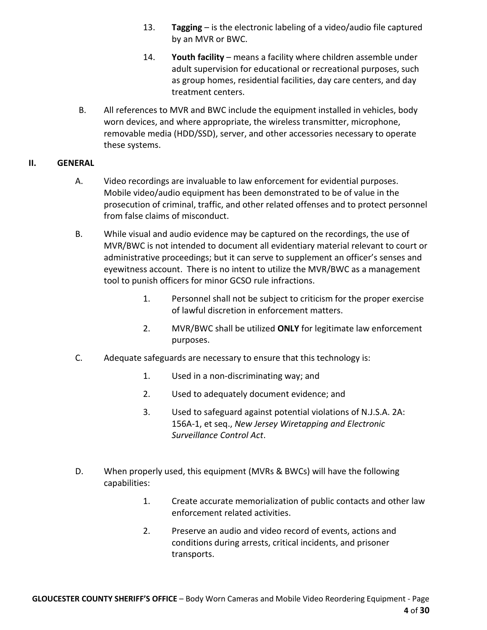- 13. **Tagging** is the electronic labeling of a video/audio file captured by an MVR or BWC.
- 14. **Youth facility** means a facility where children assemble under adult supervision for educational or recreational purposes, such as group homes, residential facilities, day care centers, and day treatment centers.
- B. All references to MVR and BWC include the equipment installed in vehicles, body worn devices, and where appropriate, the wireless transmitter, microphone, removable media (HDD/SSD), server, and other accessories necessary to operate these systems.

#### **II. GENERAL**

- A. Video recordings are invaluable to law enforcement for evidential purposes. Mobile video/audio equipment has been demonstrated to be of value in the prosecution of criminal, traffic, and other related offenses and to protect personnel from false claims of misconduct.
- B. While visual and audio evidence may be captured on the recordings, the use of MVR/BWC is not intended to document all evidentiary material relevant to court or administrative proceedings; but it can serve to supplement an officer's senses and eyewitness account. There is no intent to utilize the MVR/BWC as a management tool to punish officers for minor GCSO rule infractions.
	- 1. Personnel shall not be subject to criticism for the proper exercise of lawful discretion in enforcement matters.
	- 2. MVR/BWC shall be utilized **ONLY** for legitimate law enforcement purposes.
- C. Adequate safeguards are necessary to ensure that this technology is:
	- 1. Used in a non-discriminating way; and
	- 2. Used to adequately document evidence; and
	- 3. Used to safeguard against potential violations of N.J.S.A. 2A: 156A-1, et seq., *New Jersey Wiretapping and Electronic Surveillance Control Act*.
- D. When properly used, this equipment (MVRs & BWCs) will have the following capabilities:
	- 1. Create accurate memorialization of public contacts and other law enforcement related activities.
	- 2. Preserve an audio and video record of events, actions and conditions during arrests, critical incidents, and prisoner transports.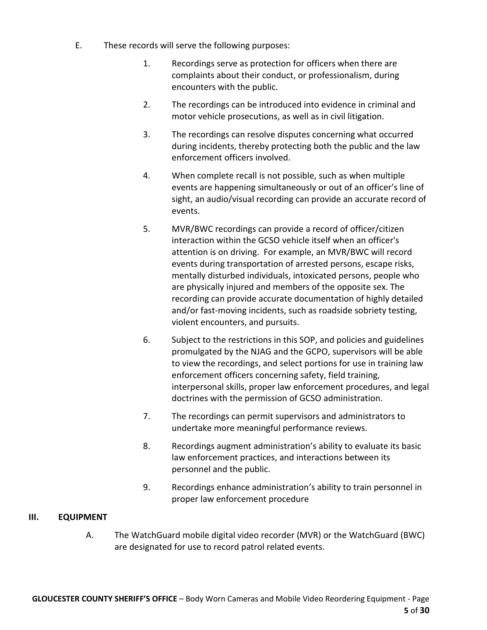- E. These records will serve the following purposes:
	- 1. Recordings serve as protection for officers when there are complaints about their conduct, or professionalism, during encounters with the public.
	- 2. The recordings can be introduced into evidence in criminal and motor vehicle prosecutions, as well as in civil litigation.
	- 3. The recordings can resolve disputes concerning what occurred during incidents, thereby protecting both the public and the law enforcement officers involved.
	- 4. When complete recall is not possible, such as when multiple events are happening simultaneously or out of an officer's line of sight, an audio/visual recording can provide an accurate record of events.
	- 5. MVR/BWC recordings can provide a record of officer/citizen interaction within the GCSO vehicle itself when an officer's attention is on driving. For example, an MVR/BWC will record events during transportation of arrested persons, escape risks, mentally disturbed individuals, intoxicated persons, people who are physically injured and members of the opposite sex. The recording can provide accurate documentation of highly detailed and/or fast-moving incidents, such as roadside sobriety testing, violent encounters, and pursuits.
	- 6. Subject to the restrictions in this SOP, and policies and guidelines promulgated by the NJAG and the GCPO, supervisors will be able to view the recordings, and select portions for use in training law enforcement officers concerning safety, field training, interpersonal skills, proper law enforcement procedures, and legal doctrines with the permission of GCSO administration.
	- 7. The recordings can permit supervisors and administrators to undertake more meaningful performance reviews.
	- 8. Recordings augment administration's ability to evaluate its basic law enforcement practices, and interactions between its personnel and the public.
	- 9. Recordings enhance administration's ability to train personnel in proper law enforcement procedure

#### **III. EQUIPMENT**

A. The WatchGuard mobile digital video recorder (MVR) or the WatchGuard (BWC) are designated for use to record patrol related events.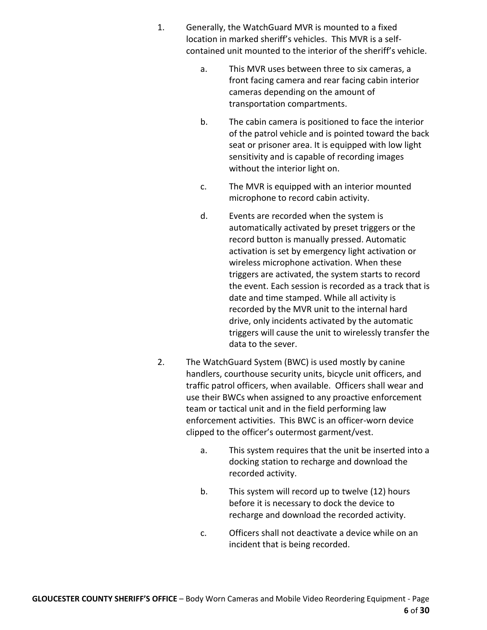- 1. Generally, the WatchGuard MVR is mounted to a fixed location in marked sheriff's vehicles. This MVR is a selfcontained unit mounted to the interior of the sheriff's vehicle.
	- a. This MVR uses between three to six cameras, a front facing camera and rear facing cabin interior cameras depending on the amount of transportation compartments.
	- b. The cabin camera is positioned to face the interior of the patrol vehicle and is pointed toward the back seat or prisoner area. It is equipped with low light sensitivity and is capable of recording images without the interior light on.
	- c. The MVR is equipped with an interior mounted microphone to record cabin activity.
	- d. Events are recorded when the system is automatically activated by preset triggers or the record button is manually pressed. Automatic activation is set by emergency light activation or wireless microphone activation. When these triggers are activated, the system starts to record the event. Each session is recorded as a track that is date and time stamped. While all activity is recorded by the MVR unit to the internal hard drive, only incidents activated by the automatic triggers will cause the unit to wirelessly transfer the data to the sever.
- 2. The WatchGuard System (BWC) is used mostly by canine handlers, courthouse security units, bicycle unit officers, and traffic patrol officers, when available. Officers shall wear and use their BWCs when assigned to any proactive enforcement team or tactical unit and in the field performing law enforcement activities. This BWC is an officer-worn device clipped to the officer's outermost garment/vest.
	- a. This system requires that the unit be inserted into a docking station to recharge and download the recorded activity.
	- b. This system will record up to twelve (12) hours before it is necessary to dock the device to recharge and download the recorded activity.
	- c. Officers shall not deactivate a device while on an incident that is being recorded.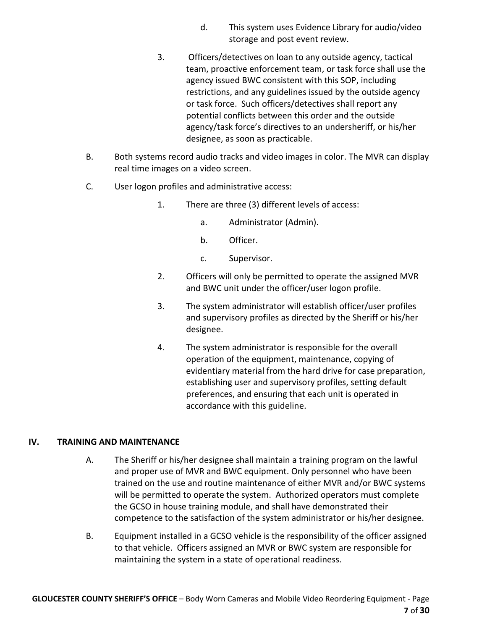- d. This system uses Evidence Library for audio/video storage and post event review.
- 3. Officers/detectives on loan to any outside agency, tactical team, proactive enforcement team, or task force shall use the agency issued BWC consistent with this SOP, including restrictions, and any guidelines issued by the outside agency or task force. Such officers/detectives shall report any potential conflicts between this order and the outside agency/task force's directives to an undersheriff, or his/her designee, as soon as practicable.
- B. Both systems record audio tracks and video images in color. The MVR can display real time images on a video screen.
- C. User logon profiles and administrative access:
	- 1. There are three (3) different levels of access:
		- a. Administrator (Admin).
		- b. Officer.
		- c. Supervisor.
	- 2. Officers will only be permitted to operate the assigned MVR and BWC unit under the officer/user logon profile.
	- 3. The system administrator will establish officer/user profiles and supervisory profiles as directed by the Sheriff or his/her designee.
	- 4. The system administrator is responsible for the overall operation of the equipment, maintenance, copying of evidentiary material from the hard drive for case preparation, establishing user and supervisory profiles, setting default preferences, and ensuring that each unit is operated in accordance with this guideline.

#### **IV. TRAINING AND MAINTENANCE**

- A. The Sheriff or his/her designee shall maintain a training program on the lawful and proper use of MVR and BWC equipment. Only personnel who have been trained on the use and routine maintenance of either MVR and/or BWC systems will be permitted to operate the system. Authorized operators must complete the GCSO in house training module, and shall have demonstrated their competence to the satisfaction of the system administrator or his/her designee.
- B. Equipment installed in a GCSO vehicle is the responsibility of the officer assigned to that vehicle. Officers assigned an MVR or BWC system are responsible for maintaining the system in a state of operational readiness.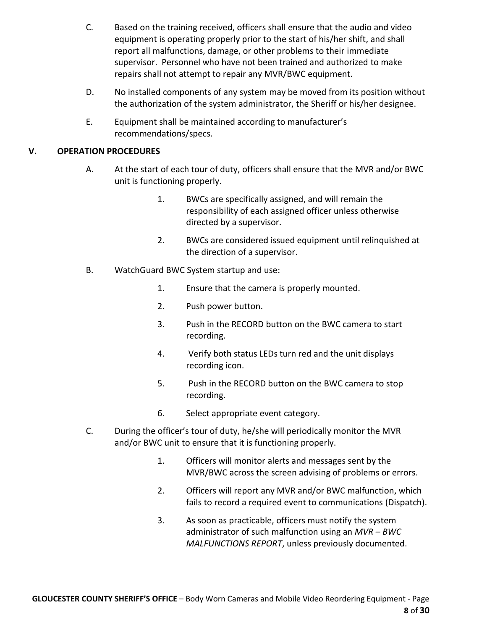- C. Based on the training received, officers shall ensure that the audio and video equipment is operating properly prior to the start of his/her shift, and shall report all malfunctions, damage, or other problems to their immediate supervisor. Personnel who have not been trained and authorized to make repairs shall not attempt to repair any MVR/BWC equipment.
- D. No installed components of any system may be moved from its position without the authorization of the system administrator, the Sheriff or his/her designee.
- E. Equipment shall be maintained according to manufacturer's recommendations/specs.

### **V. OPERATION PROCEDURES**

- A. At the start of each tour of duty, officers shall ensure that the MVR and/or BWC unit is functioning properly.
	- 1. BWCs are specifically assigned, and will remain the responsibility of each assigned officer unless otherwise directed by a supervisor.
	- 2. BWCs are considered issued equipment until relinquished at the direction of a supervisor.
- B. WatchGuard BWC System startup and use:
	- 1. Ensure that the camera is properly mounted.
	- 2. Push power button.
	- 3. Push in the RECORD button on the BWC camera to start recording.
	- 4. Verify both status LEDs turn red and the unit displays recording icon.
	- 5. Push in the RECORD button on the BWC camera to stop recording.
	- 6. Select appropriate event category.
- C. During the officer's tour of duty, he/she will periodically monitor the MVR and/or BWC unit to ensure that it is functioning properly.
	- 1. Officers will monitor alerts and messages sent by the MVR/BWC across the screen advising of problems or errors.
	- 2. Officers will report any MVR and/or BWC malfunction, which fails to record a required event to communications (Dispatch).
	- 3. As soon as practicable, officers must notify the system administrator of such malfunction using an *MVR – BWC MALFUNCTIONS REPORT*, unless previously documented.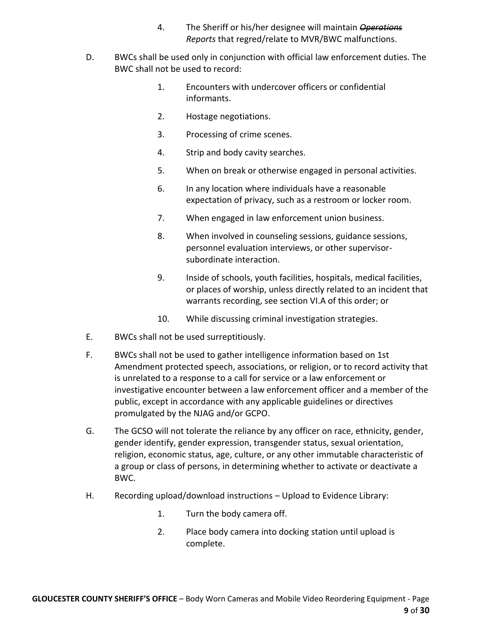- 4. The Sheriff or his/her designee will maintain *Operations Reports* that regred/relate to MVR/BWC malfunctions.
- D. BWCs shall be used only in conjunction with official law enforcement duties. The BWC shall not be used to record:
	- 1. Encounters with undercover officers or confidential informants.
	- 2. Hostage negotiations.
	- 3. Processing of crime scenes.
	- 4. Strip and body cavity searches.
	- 5. When on break or otherwise engaged in personal activities.
	- 6. In any location where individuals have a reasonable expectation of privacy, such as a restroom or locker room.
	- 7. When engaged in law enforcement union business.
	- 8. When involved in counseling sessions, guidance sessions, personnel evaluation interviews, or other supervisorsubordinate interaction.
	- 9. Inside of schools, youth facilities, hospitals, medical facilities, or places of worship, unless directly related to an incident that warrants recording, see section VI.A of this order; or
	- 10. While discussing criminal investigation strategies.
- E. BWCs shall not be used surreptitiously.
- F. BWCs shall not be used to gather intelligence information based on 1st Amendment protected speech, associations, or religion, or to record activity that is unrelated to a response to a call for service or a law enforcement or investigative encounter between a law enforcement officer and a member of the public, except in accordance with any applicable guidelines or directives promulgated by the NJAG and/or GCPO.
- G. The GCSO will not tolerate the reliance by any officer on race, ethnicity, gender, gender identify, gender expression, transgender status, sexual orientation, religion, economic status, age, culture, or any other immutable characteristic of a group or class of persons, in determining whether to activate or deactivate a BWC.
- H. Recording upload/download instructions Upload to Evidence Library:
	- 1. Turn the body camera off.
	- 2. Place body camera into docking station until upload is complete.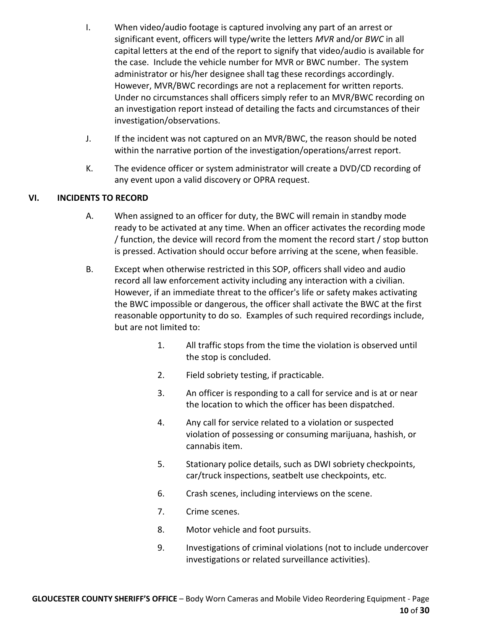- I. When video/audio footage is captured involving any part of an arrest or significant event, officers will type/write the letters *MVR* and/or *BWC* in all capital letters at the end of the report to signify that video/audio is available for the case. Include the vehicle number for MVR or BWC number. The system administrator or his/her designee shall tag these recordings accordingly. However, MVR/BWC recordings are not a replacement for written reports. Under no circumstances shall officers simply refer to an MVR/BWC recording on an investigation report instead of detailing the facts and circumstances of their investigation/observations.
- J. If the incident was not captured on an MVR/BWC, the reason should be noted within the narrative portion of the investigation/operations/arrest report.
- K. The evidence officer or system administrator will create a DVD/CD recording of any event upon a valid discovery or OPRA request.

## **VI. INCIDENTS TO RECORD**

- A. When assigned to an officer for duty, the BWC will remain in standby mode ready to be activated at any time. When an officer activates the recording mode / function, the device will record from the moment the record start / stop button is pressed. Activation should occur before arriving at the scene, when feasible.
- B. Except when otherwise restricted in this SOP, officers shall video and audio record all law enforcement activity including any interaction with a civilian. However, if an immediate threat to the officer's life or safety makes activating the BWC impossible or dangerous, the officer shall activate the BWC at the first reasonable opportunity to do so. Examples of such required recordings include, but are not limited to:
	- 1. All traffic stops from the time the violation is observed until the stop is concluded.
	- 2. Field sobriety testing, if practicable.
	- 3. An officer is responding to a call for service and is at or near the location to which the officer has been dispatched.
	- 4. Any call for service related to a violation or suspected violation of possessing or consuming marijuana, hashish, or cannabis item.
	- 5. Stationary police details, such as DWI sobriety checkpoints, car/truck inspections, seatbelt use checkpoints, etc.
	- 6. Crash scenes, including interviews on the scene.
	- 7. Crime scenes.
	- 8. Motor vehicle and foot pursuits.
	- 9. Investigations of criminal violations (not to include undercover investigations or related surveillance activities).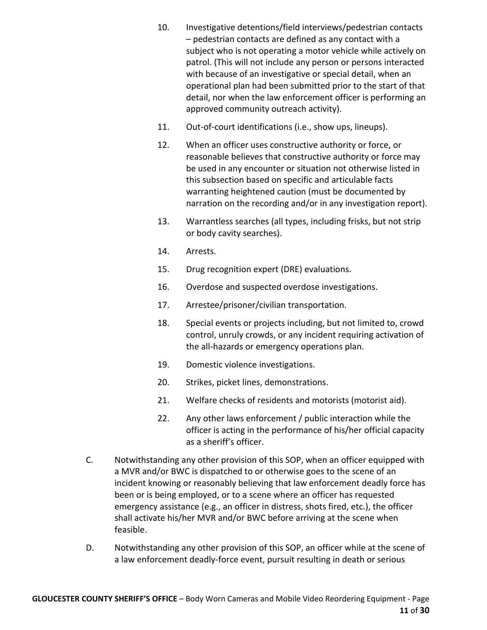- 10. Investigative detentions/field interviews/pedestrian contacts – pedestrian contacts are defined as any contact with a subject who is not operating a motor vehicle while actively on patrol. (This will not include any person or persons interacted with because of an investigative or special detail, when an operational plan had been submitted prior to the start of that detail, nor when the law enforcement officer is performing an approved community outreach activity).
- 11. Out-of-court identifications (i.e., show ups, lineups).
- 12. When an officer uses constructive authority or force, or reasonable believes that constructive authority or force may be used in any encounter or situation not otherwise listed in this subsection based on specific and articulable facts warranting heightened caution (must be documented by narration on the recording and/or in any investigation report).
- 13. Warrantless searches (all types, including frisks, but not strip or body cavity searches).
- 14. Arrests.
- 15. Drug recognition expert (DRE) evaluations.
- 16. Overdose and suspected overdose investigations.
- 17. Arrestee/prisoner/civilian transportation.
- 18. Special events or projects including, but not limited to, crowd control, unruly crowds, or any incident requiring activation of the all-hazards or emergency operations plan.
- 19. Domestic violence investigations.
- 20. Strikes, picket lines, demonstrations.
- 21. Welfare checks of residents and motorists (motorist aid).
- 22. Any other laws enforcement / public interaction while the officer is acting in the performance of his/her official capacity as a sheriff's officer.
- C. Notwithstanding any other provision of this SOP, when an officer equipped with a MVR and/or BWC is dispatched to or otherwise goes to the scene of an incident knowing or reasonably believing that law enforcement deadly force has been or is being employed, or to a scene where an officer has requested emergency assistance (e.g., an officer in distress, shots fired, etc.), the officer shall activate his/her MVR and/or BWC before arriving at the scene when feasible.
- D. Notwithstanding any other provision of this SOP, an officer while at the scene of a law enforcement deadly-force event, pursuit resulting in death or serious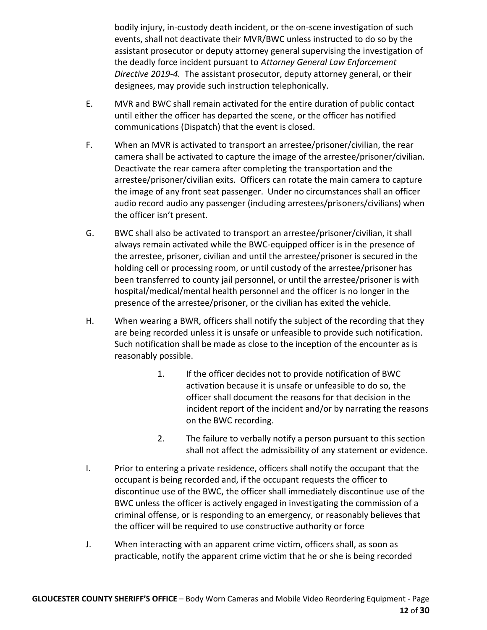bodily injury, in-custody death incident, or the on-scene investigation of such events, shall not deactivate their MVR/BWC unless instructed to do so by the assistant prosecutor or deputy attorney general supervising the investigation of the deadly force incident pursuant to *Attorney General Law Enforcement Directive 2019-4.* The assistant prosecutor, deputy attorney general, or their designees, may provide such instruction telephonically.

- E. MVR and BWC shall remain activated for the entire duration of public contact until either the officer has departed the scene, or the officer has notified communications (Dispatch) that the event is closed.
- F. When an MVR is activated to transport an arrestee/prisoner/civilian, the rear camera shall be activated to capture the image of the arrestee/prisoner/civilian. Deactivate the rear camera after completing the transportation and the arrestee/prisoner/civilian exits. Officers can rotate the main camera to capture the image of any front seat passenger. Under no circumstances shall an officer audio record audio any passenger (including arrestees/prisoners/civilians) when the officer isn't present.
- G. BWC shall also be activated to transport an arrestee/prisoner/civilian, it shall always remain activated while the BWC-equipped officer is in the presence of the arrestee, prisoner, civilian and until the arrestee/prisoner is secured in the holding cell or processing room, or until custody of the arrestee/prisoner has been transferred to county jail personnel, or until the arrestee/prisoner is with hospital/medical/mental health personnel and the officer is no longer in the presence of the arrestee/prisoner, or the civilian has exited the vehicle.
- H. When wearing a BWR, officers shall notify the subject of the recording that they are being recorded unless it is unsafe or unfeasible to provide such notification. Such notification shall be made as close to the inception of the encounter as is reasonably possible.
	- 1. If the officer decides not to provide notification of BWC activation because it is unsafe or unfeasible to do so, the officer shall document the reasons for that decision in the incident report of the incident and/or by narrating the reasons on the BWC recording.
	- 2. The failure to verbally notify a person pursuant to this section shall not affect the admissibility of any statement or evidence.
- I. Prior to entering a private residence, officers shall notify the occupant that the occupant is being recorded and, if the occupant requests the officer to discontinue use of the BWC, the officer shall immediately discontinue use of the BWC unless the officer is actively engaged in investigating the commission of a criminal offense, or is responding to an emergency, or reasonably believes that the officer will be required to use constructive authority or force
- J. When interacting with an apparent crime victim, officers shall, as soon as practicable, notify the apparent crime victim that he or she is being recorded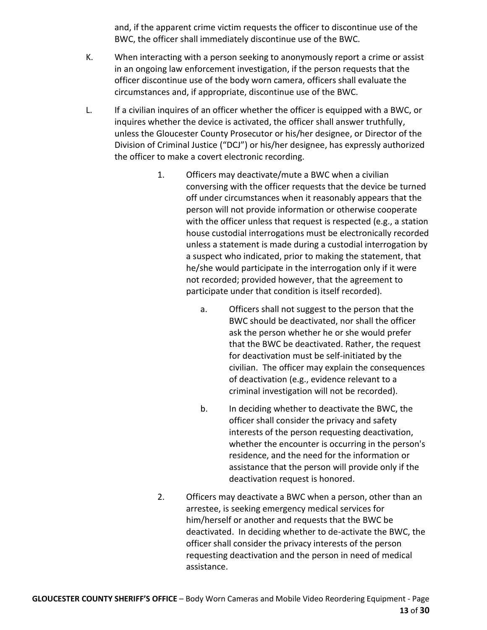and, if the apparent crime victim requests the officer to discontinue use of the BWC, the officer shall immediately discontinue use of the BWC.

- K. When interacting with a person seeking to anonymously report a crime or assist in an ongoing law enforcement investigation, if the person requests that the officer discontinue use of the body worn camera, officers shall evaluate the circumstances and, if appropriate, discontinue use of the BWC.
- L. If a civilian inquires of an officer whether the officer is equipped with a BWC, or inquires whether the device is activated, the officer shall answer truthfully, unless the Gloucester County Prosecutor or his/her designee, or Director of the Division of Criminal Justice ("DCJ") or his/her designee, has expressly authorized the officer to make a covert electronic recording.
	- 1. Officers may deactivate/mute a BWC when a civilian conversing with the officer requests that the device be turned off under circumstances when it reasonably appears that the person will not provide information or otherwise cooperate with the officer unless that request is respected (e.g., a station house custodial interrogations must be electronically recorded unless a statement is made during a custodial interrogation by a suspect who indicated, prior to making the statement, that he/she would participate in the interrogation only if it were not recorded; provided however, that the agreement to participate under that condition is itself recorded).
		- a. Officers shall not suggest to the person that the BWC should be deactivated, nor shall the officer ask the person whether he or she would prefer that the BWC be deactivated. Rather, the request for deactivation must be self-initiated by the civilian. The officer may explain the consequences of deactivation (e.g., evidence relevant to a criminal investigation will not be recorded).
		- b. In deciding whether to deactivate the BWC, the officer shall consider the privacy and safety interests of the person requesting deactivation, whether the encounter is occurring in the person's residence, and the need for the information or assistance that the person will provide only if the deactivation request is honored.
	- 2. Officers may deactivate a BWC when a person, other than an arrestee, is seeking emergency medical services for him/herself or another and requests that the BWC be deactivated. In deciding whether to de-activate the BWC, the officer shall consider the privacy interests of the person requesting deactivation and the person in need of medical assistance.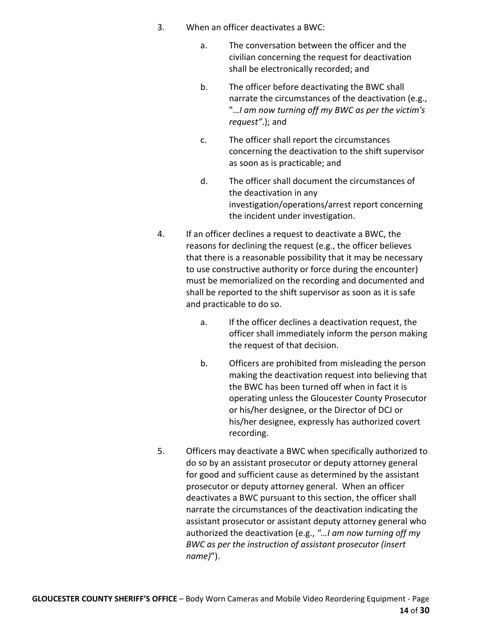- 3. When an officer deactivates a BWC:
	- a. The conversation between the officer and the civilian concerning the request for deactivation shall be electronically recorded; and
	- b. The officer before deactivating the BWC shall narrate the circumstances of the deactivation (e.g., "…*I am now turning off my BWC as per the victim's request"*.); and
	- c. The officer shall report the circumstances concerning the deactivation to the shift supervisor as soon as is practicable; and
	- d. The officer shall document the circumstances of the deactivation in any investigation/operations/arrest report concerning the incident under investigation.
- 4. If an officer declines a request to deactivate a BWC, the reasons for declining the request (e.g., the officer believes that there is a reasonable possibility that it may be necessary to use constructive authority or force during the encounter) must be memorialized on the recording and documented and shall be reported to the shift supervisor as soon as it is safe and practicable to do so.
	- a. If the officer declines a deactivation request, the officer shall immediately inform the person making the request of that decision.
	- b. Officers are prohibited from misleading the person making the deactivation request into believing that the BWC has been turned off when in fact it is operating unless the Gloucester County Prosecutor or his/her designee, or the Director of DCJ or his/her designee, expressly has authorized covert recording.
- 5. Officers may deactivate a BWC when specifically authorized to do so by an assistant prosecutor or deputy attorney general for good and sufficient cause as determined by the assistant prosecutor or deputy attorney general. When an officer deactivates a BWC pursuant to this section, the officer shall narrate the circumstances of the deactivation indicating the assistant prosecutor or assistant deputy attorney general who authorized the deactivation (e.g., *"…I am now turning off my BWC as per the instruction of assistant prosecutor (insert name)*").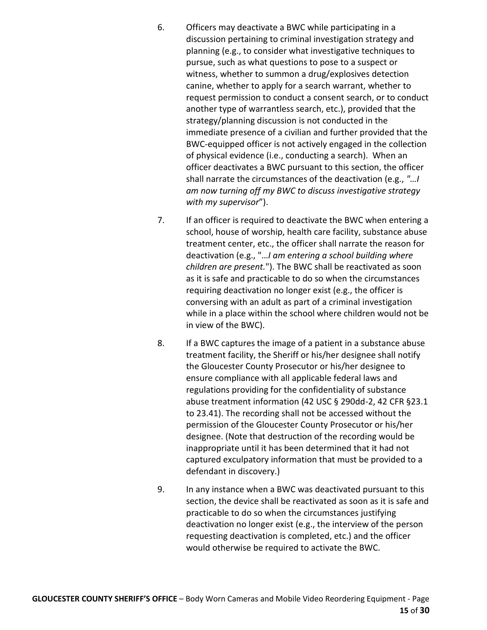- 6. Officers may deactivate a BWC while participating in a discussion pertaining to criminal investigation strategy and planning (e.g., to consider what investigative techniques to pursue, such as what questions to pose to a suspect or witness, whether to summon a drug/explosives detection canine, whether to apply for a search warrant, whether to request permission to conduct a consent search, or to conduct another type of warrantless search, etc.), provided that the strategy/planning discussion is not conducted in the immediate presence of a civilian and further provided that the BWC-equipped officer is not actively engaged in the collection of physical evidence (i.e., conducting a search). When an officer deactivates a BWC pursuant to this section, the officer shall narrate the circumstances of the deactivation (e.g., *"…I am now turning off my BWC to discuss investigative strategy with my supervisor*").
- 7. If an officer is required to deactivate the BWC when entering a school, house of worship, health care facility, substance abuse treatment center, etc., the officer shall narrate the reason for deactivation (e.g., "…*I am entering a school building where children are present.*"). The BWC shall be reactivated as soon as it is safe and practicable to do so when the circumstances requiring deactivation no longer exist (e.g., the officer is conversing with an adult as part of a criminal investigation while in a place within the school where children would not be in view of the BWC).
- 8. If a BWC captures the image of a patient in a substance abuse treatment facility, the Sheriff or his/her designee shall notify the Gloucester County Prosecutor or his/her designee to ensure compliance with all applicable federal laws and regulations providing for the confidentiality of substance abuse treatment information (42 USC § 290dd-2, 42 CFR §23.1 to 23.41). The recording shall not be accessed without the permission of the Gloucester County Prosecutor or his/her designee. (Note that destruction of the recording would be inappropriate until it has been determined that it had not captured exculpatory information that must be provided to a defendant in discovery.)
- 9. In any instance when a BWC was deactivated pursuant to this section, the device shall be reactivated as soon as it is safe and practicable to do so when the circumstances justifying deactivation no longer exist (e.g., the interview of the person requesting deactivation is completed, etc.) and the officer would otherwise be required to activate the BWC.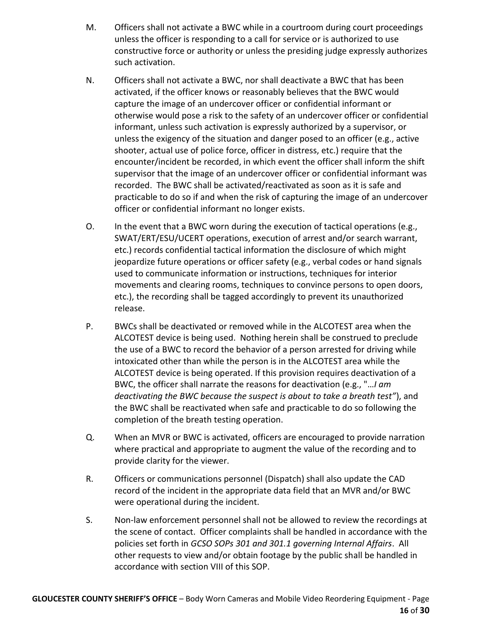- M. Officers shall not activate a BWC while in a courtroom during court proceedings unless the officer is responding to a call for service or is authorized to use constructive force or authority or unless the presiding judge expressly authorizes such activation.
- N. Officers shall not activate a BWC, nor shall deactivate a BWC that has been activated, if the officer knows or reasonably believes that the BWC would capture the image of an undercover officer or confidential informant or otherwise would pose a risk to the safety of an undercover officer or confidential informant, unless such activation is expressly authorized by a supervisor, or unless the exigency of the situation and danger posed to an officer (e.g., active shooter, actual use of police force, officer in distress, etc.) require that the encounter/incident be recorded, in which event the officer shall inform the shift supervisor that the image of an undercover officer or confidential informant was recorded. The BWC shall be activated/reactivated as soon as it is safe and practicable to do so if and when the risk of capturing the image of an undercover officer or confidential informant no longer exists.
- O. In the event that a BWC worn during the execution of tactical operations (e.g., SWAT/ERT/ESU/UCERT operations, execution of arrest and/or search warrant, etc.) records confidential tactical information the disclosure of which might jeopardize future operations or officer safety (e.g., verbal codes or hand signals used to communicate information or instructions, techniques for interior movements and clearing rooms, techniques to convince persons to open doors, etc.), the recording shall be tagged accordingly to prevent its unauthorized release.
- P. BWCs shall be deactivated or removed while in the ALCOTEST area when the ALCOTEST device is being used. Nothing herein shall be construed to preclude the use of a BWC to record the behavior of a person arrested for driving while intoxicated other than while the person is in the ALCOTEST area while the ALCOTEST device is being operated. If this provision requires deactivation of a BWC, the officer shall narrate the reasons for deactivation (e.g., "…*I am deactivating the BWC because the suspect is about to take a breath test"*), and the BWC shall be reactivated when safe and practicable to do so following the completion of the breath testing operation.
- Q. When an MVR or BWC is activated, officers are encouraged to provide narration where practical and appropriate to augment the value of the recording and to provide clarity for the viewer.
- R. Officers or communications personnel (Dispatch) shall also update the CAD record of the incident in the appropriate data field that an MVR and/or BWC were operational during the incident.
- S. Non-law enforcement personnel shall not be allowed to review the recordings at the scene of contact. Officer complaints shall be handled in accordance with the policies set forth in *GCSO SOPs 301 and 301.1 governing Internal Affairs*. All other requests to view and/or obtain footage by the public shall be handled in accordance with section VIII of this SOP.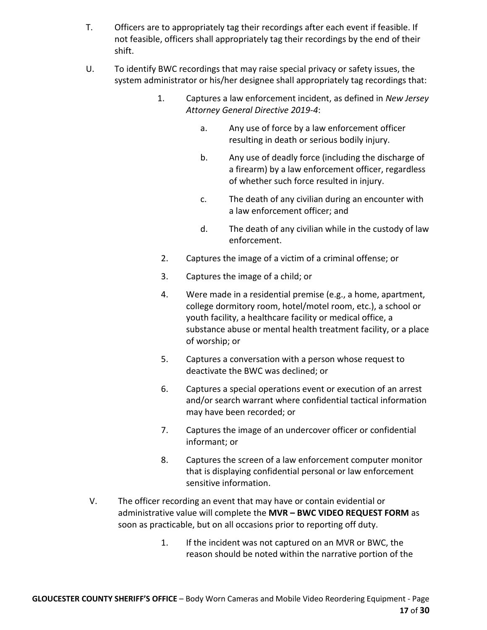- T. Officers are to appropriately tag their recordings after each event if feasible. If not feasible, officers shall appropriately tag their recordings by the end of their shift.
- U. To identify BWC recordings that may raise special privacy or safety issues, the system administrator or his/her designee shall appropriately tag recordings that:
	- 1. Captures a law enforcement incident, as defined in *New Jersey Attorney General Directive 2019-4*:
		- a. Any use of force by a law enforcement officer resulting in death or serious bodily injury.
		- b. Any use of deadly force (including the discharge of a firearm) by a law enforcement officer, regardless of whether such force resulted in injury.
		- c. The death of any civilian during an encounter with a law enforcement officer; and
		- d. The death of any civilian while in the custody of law enforcement.
		- 2. Captures the image of a victim of a criminal offense; or
		- 3. Captures the image of a child; or
		- 4. Were made in a residential premise (e.g., a home, apartment, college dormitory room, hotel/motel room, etc.), a school or youth facility, a healthcare facility or medical office, a substance abuse or mental health treatment facility, or a place of worship; or
		- 5. Captures a conversation with a person whose request to deactivate the BWC was declined; or
		- 6. Captures a special operations event or execution of an arrest and/or search warrant where confidential tactical information may have been recorded; or
		- 7. Captures the image of an undercover officer or confidential informant; or
		- 8. Captures the screen of a law enforcement computer monitor that is displaying confidential personal or law enforcement sensitive information.
- V. The officer recording an event that may have or contain evidential or administrative value will complete the **MVR – BWC VIDEO REQUEST FORM** as soon as practicable, but on all occasions prior to reporting off duty.
	- 1. If the incident was not captured on an MVR or BWC, the reason should be noted within the narrative portion of the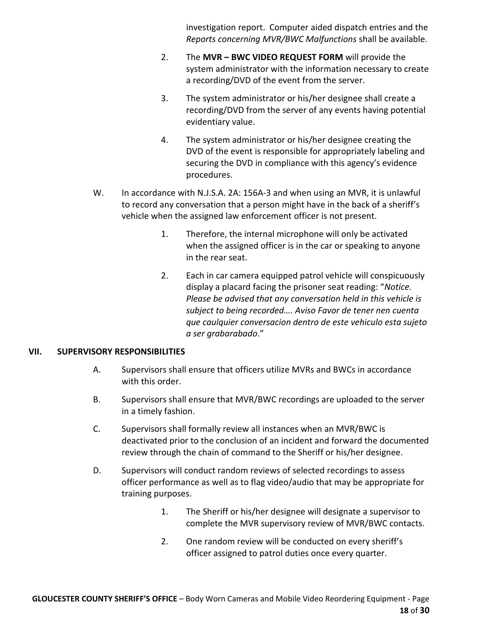investigation report. Computer aided dispatch entries and the *Reports concerning MVR/BWC Malfunctions* shall be available.

- 2. The **MVR – BWC VIDEO REQUEST FORM** will provide the system administrator with the information necessary to create a recording/DVD of the event from the server.
- 3. The system administrator or his/her designee shall create a recording/DVD from the server of any events having potential evidentiary value.
- 4. The system administrator or his/her designee creating the DVD of the event is responsible for appropriately labeling and securing the DVD in compliance with this agency's evidence procedures.
- W. In accordance with N.J.S.A. 2A: 156A-3 and when using an MVR, it is unlawful to record any conversation that a person might have in the back of a sheriff's vehicle when the assigned law enforcement officer is not present.
	- 1. Therefore, the internal microphone will only be activated when the assigned officer is in the car or speaking to anyone in the rear seat.
	- 2. Each in car camera equipped patrol vehicle will conspicuously display a placard facing the prisoner seat reading: "*Notice. Please be advised that any conversation held in this vehicle is subject to being recorded…. Aviso Favor de tener nen cuenta que caulquier conversacion dentro de este vehiculo esta sujeto a ser grabarabado*."

#### **VII. SUPERVISORY RESPONSIBILITIES**

- A. Supervisors shall ensure that officers utilize MVRs and BWCs in accordance with this order.
- B. Supervisors shall ensure that MVR/BWC recordings are uploaded to the server in a timely fashion.
- C. Supervisors shall formally review all instances when an MVR/BWC is deactivated prior to the conclusion of an incident and forward the documented review through the chain of command to the Sheriff or his/her designee.
- D. Supervisors will conduct random reviews of selected recordings to assess officer performance as well as to flag video/audio that may be appropriate for training purposes.
	- 1. The Sheriff or his/her designee will designate a supervisor to complete the MVR supervisory review of MVR/BWC contacts.
	- 2. One random review will be conducted on every sheriff's officer assigned to patrol duties once every quarter.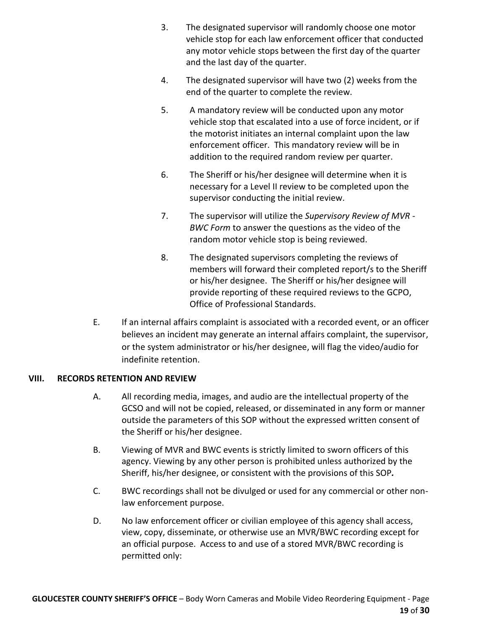- 3. The designated supervisor will randomly choose one motor vehicle stop for each law enforcement officer that conducted any motor vehicle stops between the first day of the quarter and the last day of the quarter.
- 4. The designated supervisor will have two (2) weeks from the end of the quarter to complete the review.
- 5. A mandatory review will be conducted upon any motor vehicle stop that escalated into a use of force incident, or if the motorist initiates an internal complaint upon the law enforcement officer. This mandatory review will be in addition to the required random review per quarter.
- 6. The Sheriff or his/her designee will determine when it is necessary for a Level II review to be completed upon the supervisor conducting the initial review.
- 7. The supervisor will utilize the *Supervisory Review of MVR - BWC Form* to answer the questions as the video of the random motor vehicle stop is being reviewed.
- 8. The designated supervisors completing the reviews of members will forward their completed report/s to the Sheriff or his/her designee. The Sheriff or his/her designee will provide reporting of these required reviews to the GCPO, Office of Professional Standards.
- E. If an internal affairs complaint is associated with a recorded event, or an officer believes an incident may generate an internal affairs complaint, the supervisor, or the system administrator or his/her designee, will flag the video/audio for indefinite retention.

#### **VIII. RECORDS RETENTION AND REVIEW**

- A. All recording media, images, and audio are the intellectual property of the GCSO and will not be copied, released, or disseminated in any form or manner outside the parameters of this SOP without the expressed written consent of the Sheriff or his/her designee.
- B. Viewing of MVR and BWC events is strictly limited to sworn officers of this agency. Viewing by any other person is prohibited unless authorized by the Sheriff, his/her designee, or consistent with the provisions of this SOP*.*
- C. BWC recordings shall not be divulged or used for any commercial or other nonlaw enforcement purpose.
- D. No law enforcement officer or civilian employee of this agency shall access, view, copy, disseminate, or otherwise use an MVR/BWC recording except for an official purpose. Access to and use of a stored MVR/BWC recording is permitted only: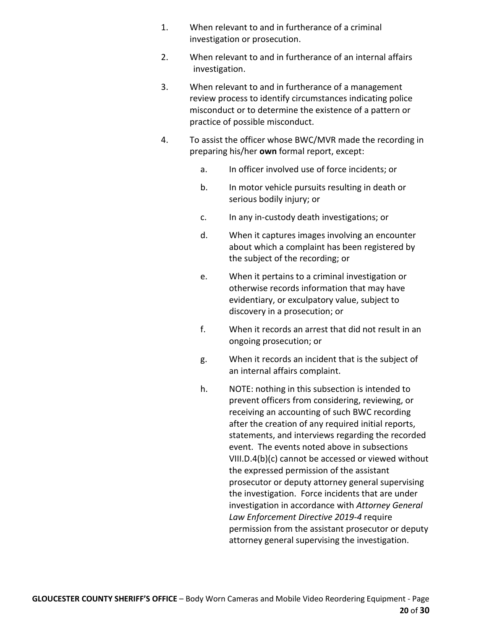- 1. When relevant to and in furtherance of a criminal investigation or prosecution.
- 2. When relevant to and in furtherance of an internal affairs investigation.
- 3. When relevant to and in furtherance of a management review process to identify circumstances indicating police misconduct or to determine the existence of a pattern or practice of possible misconduct.
- 4. To assist the officer whose BWC/MVR made the recording in preparing his/her **own** formal report, except:
	- a. In officer involved use of force incidents; or
	- b. In motor vehicle pursuits resulting in death or serious bodily injury; or
	- c. In any in-custody death investigations; or
	- d. When it captures images involving an encounter about which a complaint has been registered by the subject of the recording; or
	- e. When it pertains to a criminal investigation or otherwise records information that may have evidentiary, or exculpatory value, subject to discovery in a prosecution; or
	- f. When it records an arrest that did not result in an ongoing prosecution; or
	- g. When it records an incident that is the subject of an internal affairs complaint.
	- h. NOTE: nothing in this subsection is intended to prevent officers from considering, reviewing, or receiving an accounting of such BWC recording after the creation of any required initial reports, statements, and interviews regarding the recorded event. The events noted above in subsections VIII.D.4(b)(c) cannot be accessed or viewed without the expressed permission of the assistant prosecutor or deputy attorney general supervising the investigation. Force incidents that are under investigation in accordance with *Attorney General Law Enforcement Directive 2019-4* require permission from the assistant prosecutor or deputy attorney general supervising the investigation.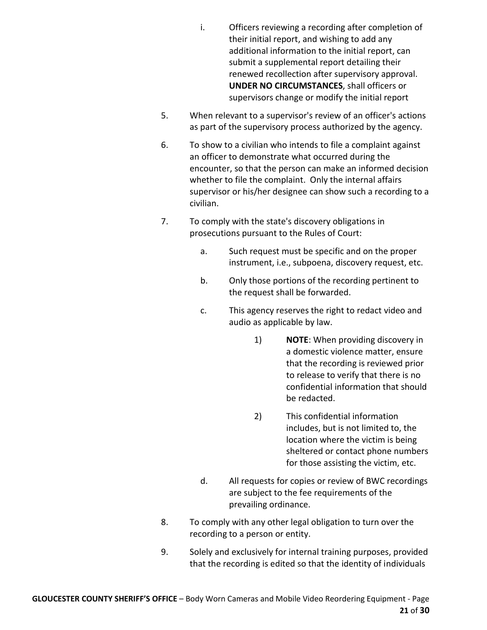- i. Officers reviewing a recording after completion of their initial report, and wishing to add any additional information to the initial report, can submit a supplemental report detailing their renewed recollection after supervisory approval. **UNDER NO CIRCUMSTANCES**, shall officers or supervisors change or modify the initial report
- 5. When relevant to a supervisor's review of an officer's actions as part of the supervisory process authorized by the agency.
- 6. To show to a civilian who intends to file a complaint against an officer to demonstrate what occurred during the encounter, so that the person can make an informed decision whether to file the complaint. Only the internal affairs supervisor or his/her designee can show such a recording to a civilian.
- 7. To comply with the state's discovery obligations in prosecutions pursuant to the Rules of Court:
	- a. Such request must be specific and on the proper instrument, i.e., subpoena, discovery request, etc.
	- b. Only those portions of the recording pertinent to the request shall be forwarded.
	- c. This agency reserves the right to redact video and audio as applicable by law.
		- 1) **NOTE**: When providing discovery in a domestic violence matter, ensure that the recording is reviewed prior to release to verify that there is no confidential information that should be redacted.
		- 2) This confidential information includes, but is not limited to, the location where the victim is being sheltered or contact phone numbers for those assisting the victim, etc.
	- d. All requests for copies or review of BWC recordings are subject to the fee requirements of the prevailing ordinance.
- 8. To comply with any other legal obligation to turn over the recording to a person or entity.
- 9. Solely and exclusively for internal training purposes, provided that the recording is edited so that the identity of individuals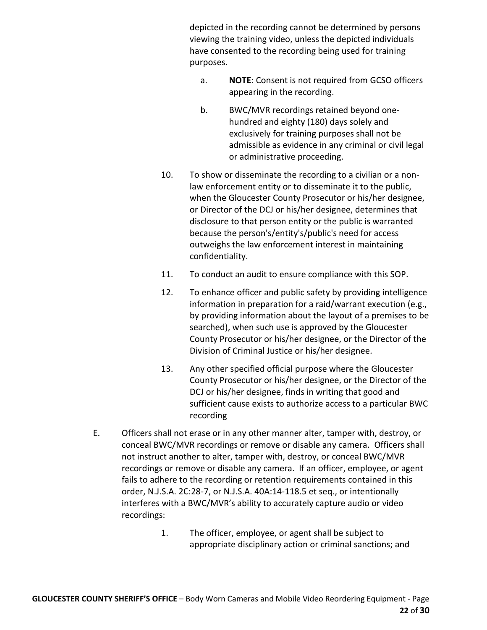depicted in the recording cannot be determined by persons viewing the training video, unless the depicted individuals have consented to the recording being used for training purposes.

- a. **NOTE**: Consent is not required from GCSO officers appearing in the recording.
- b. BWC/MVR recordings retained beyond onehundred and eighty (180) days solely and exclusively for training purposes shall not be admissible as evidence in any criminal or civil legal or administrative proceeding.
- 10. To show or disseminate the recording to a civilian or a nonlaw enforcement entity or to disseminate it to the public, when the Gloucester County Prosecutor or his/her designee, or Director of the DCJ or his/her designee, determines that disclosure to that person entity or the public is warranted because the person's/entity's/public's need for access outweighs the law enforcement interest in maintaining confidentiality.
- 11. To conduct an audit to ensure compliance with this SOP.
- 12. To enhance officer and public safety by providing intelligence information in preparation for a raid/warrant execution (e.g., by providing information about the layout of a premises to be searched), when such use is approved by the Gloucester County Prosecutor or his/her designee, or the Director of the Division of Criminal Justice or his/her designee.
- 13. Any other specified official purpose where the Gloucester County Prosecutor or his/her designee, or the Director of the DCJ or his/her designee, finds in writing that good and sufficient cause exists to authorize access to a particular BWC recording
- E. Officers shall not erase or in any other manner alter, tamper with, destroy, or conceal BWC/MVR recordings or remove or disable any camera. Officers shall not instruct another to alter, tamper with, destroy, or conceal BWC/MVR recordings or remove or disable any camera. If an officer, employee, or agent fails to adhere to the recording or retention requirements contained in this order, N.J.S.A. 2C:28-7, or N.J.S.A. 40A:14-118.5 et seq., or intentionally interferes with a BWC/MVR's ability to accurately capture audio or video recordings:
	- 1. The officer, employee, or agent shall be subject to appropriate disciplinary action or criminal sanctions; and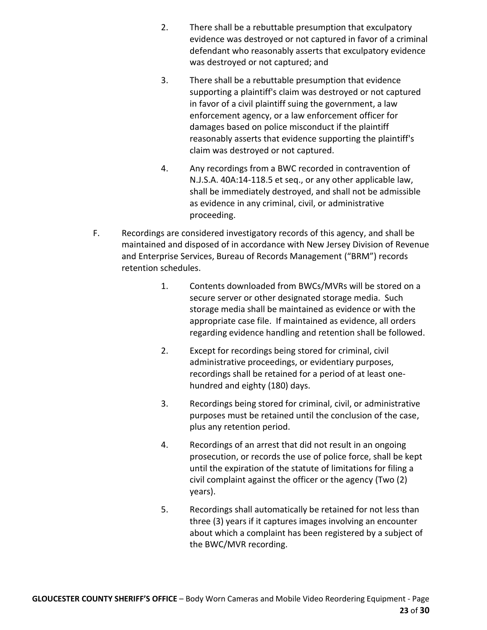- 2. There shall be a rebuttable presumption that exculpatory evidence was destroyed or not captured in favor of a criminal defendant who reasonably asserts that exculpatory evidence was destroyed or not captured; and
- 3. There shall be a rebuttable presumption that evidence supporting a plaintiff's claim was destroyed or not captured in favor of a civil plaintiff suing the government, a law enforcement agency, or a law enforcement officer for damages based on police misconduct if the plaintiff reasonably asserts that evidence supporting the plaintiff's claim was destroyed or not captured.
- 4. Any recordings from a BWC recorded in contravention of N.J.S.A. 40A:14-118.5 et seq., or any other applicable law, shall be immediately destroyed, and shall not be admissible as evidence in any criminal, civil, or administrative proceeding.
- F. Recordings are considered investigatory records of this agency, and shall be maintained and disposed of in accordance with New Jersey Division of Revenue and Enterprise Services, Bureau of Records Management ("BRM") records retention schedules.
	- 1. Contents downloaded from BWCs/MVRs will be stored on a secure server or other designated storage media. Such storage media shall be maintained as evidence or with the appropriate case file. If maintained as evidence, all orders regarding evidence handling and retention shall be followed.
	- 2. Except for recordings being stored for criminal, civil administrative proceedings, or evidentiary purposes, recordings shall be retained for a period of at least onehundred and eighty (180) days.
	- 3. Recordings being stored for criminal, civil, or administrative purposes must be retained until the conclusion of the case, plus any retention period.
	- 4. Recordings of an arrest that did not result in an ongoing prosecution, or records the use of police force, shall be kept until the expiration of the statute of limitations for filing a civil complaint against the officer or the agency (Two (2) years).
	- 5. Recordings shall automatically be retained for not less than three (3) years if it captures images involving an encounter about which a complaint has been registered by a subject of the BWC/MVR recording.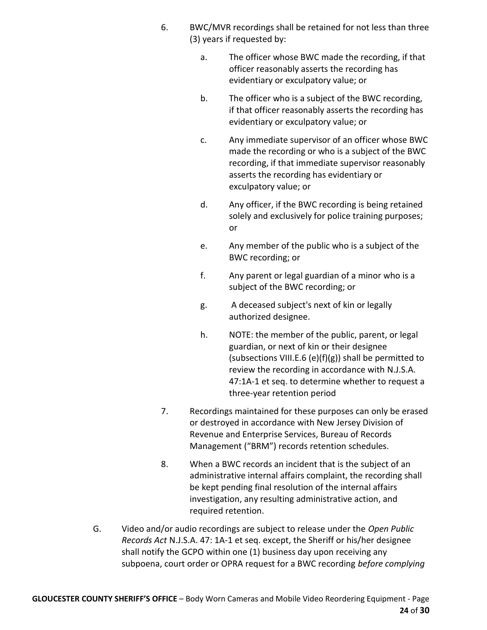- 6. BWC/MVR recordings shall be retained for not less than three (3) years if requested by:
	- a. The officer whose BWC made the recording, if that officer reasonably asserts the recording has evidentiary or exculpatory value; or
	- b. The officer who is a subject of the BWC recording, if that officer reasonably asserts the recording has evidentiary or exculpatory value; or
	- c. Any immediate supervisor of an officer whose BWC made the recording or who is a subject of the BWC recording, if that immediate supervisor reasonably asserts the recording has evidentiary or exculpatory value; or
	- d. Any officer, if the BWC recording is being retained solely and exclusively for police training purposes; or
	- e. Any member of the public who is a subject of the BWC recording; or
	- f. Any parent or legal guardian of a minor who is a subject of the BWC recording; or
	- g. A deceased subject's next of kin or legally authorized designee.
	- h. NOTE: the member of the public, parent, or legal guardian, or next of kin or their designee (subsections VIII.E.6 (e)(f)(g)) shall be permitted to review the recording in accordance with N.J.S.A. 47:1A-1 et seq. to determine whether to request a three-year retention period
- 7. Recordings maintained for these purposes can only be erased or destroyed in accordance with New Jersey Division of Revenue and Enterprise Services, Bureau of Records Management ("BRM") records retention schedules.
- 8. When a BWC records an incident that is the subject of an administrative internal affairs complaint, the recording shall be kept pending final resolution of the internal affairs investigation, any resulting administrative action, and required retention.
- G. Video and/or audio recordings are subject to release under the *Open Public Records Act* N.J.S.A. 47: 1A-1 et seq. except, the Sheriff or his/her designee shall notify the GCPO within one (1) business day upon receiving any subpoena, court order or OPRA request for a BWC recording *before complying*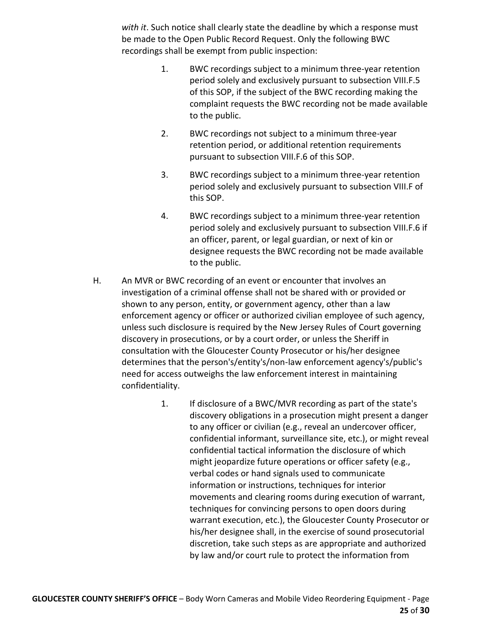*with it*. Such notice shall clearly state the deadline by which a response must be made to the Open Public Record Request. Only the following BWC recordings shall be exempt from public inspection:

- 1. BWC recordings subject to a minimum three-year retention period solely and exclusively pursuant to subsection VIII.F.5 of this SOP, if the subject of the BWC recording making the complaint requests the BWC recording not be made available to the public.
- 2. BWC recordings not subject to a minimum three-year retention period, or additional retention requirements pursuant to subsection VIII.F.6 of this SOP.
- 3. BWC recordings subject to a minimum three-year retention period solely and exclusively pursuant to subsection VIII.F of this SOP.
- 4. BWC recordings subject to a minimum three-year retention period solely and exclusively pursuant to subsection VIII.F.6 if an officer, parent, or legal guardian, or next of kin or designee requests the BWC recording not be made available to the public.
- H. An MVR or BWC recording of an event or encounter that involves an investigation of a criminal offense shall not be shared with or provided or shown to any person, entity, or government agency, other than a law enforcement agency or officer or authorized civilian employee of such agency, unless such disclosure is required by the New Jersey Rules of Court governing discovery in prosecutions, or by a court order, or unless the Sheriff in consultation with the Gloucester County Prosecutor or his/her designee determines that the person's/entity's/non-law enforcement agency's/public's need for access outweighs the law enforcement interest in maintaining confidentiality.
	- 1. If disclosure of a BWC/MVR recording as part of the state's discovery obligations in a prosecution might present a danger to any officer or civilian (e.g., reveal an undercover officer, confidential informant, surveillance site, etc.), or might reveal confidential tactical information the disclosure of which might jeopardize future operations or officer safety (e.g., verbal codes or hand signals used to communicate information or instructions, techniques for interior movements and clearing rooms during execution of warrant, techniques for convincing persons to open doors during warrant execution, etc.), the Gloucester County Prosecutor or his/her designee shall, in the exercise of sound prosecutorial discretion, take such steps as are appropriate and authorized by law and/or court rule to protect the information from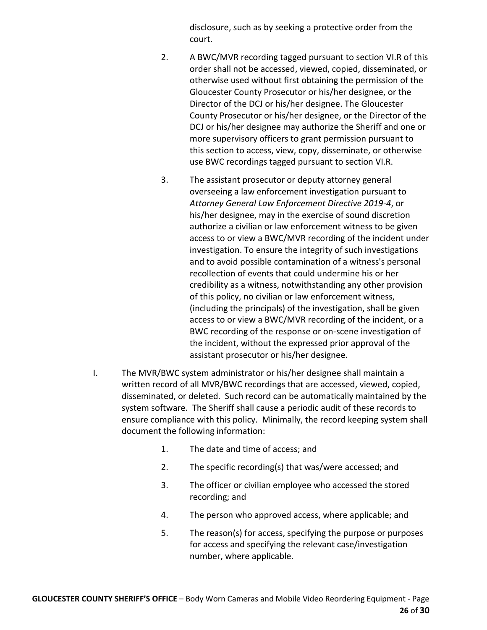disclosure, such as by seeking a protective order from the court.

- 2. A BWC/MVR recording tagged pursuant to section VI.R of this order shall not be accessed, viewed, copied, disseminated, or otherwise used without first obtaining the permission of the Gloucester County Prosecutor or his/her designee, or the Director of the DCJ or his/her designee. The Gloucester County Prosecutor or his/her designee, or the Director of the DCJ or his/her designee may authorize the Sheriff and one or more supervisory officers to grant permission pursuant to this section to access, view, copy, disseminate, or otherwise use BWC recordings tagged pursuant to section VI.R.
- 3. The assistant prosecutor or deputy attorney general overseeing a law enforcement investigation pursuant to *Attorney General Law Enforcement Directive 2019-4*, or his/her designee, may in the exercise of sound discretion authorize a civilian or law enforcement witness to be given access to or view a BWC/MVR recording of the incident under investigation. To ensure the integrity of such investigations and to avoid possible contamination of a witness's personal recollection of events that could undermine his or her credibility as a witness, notwithstanding any other provision of this policy, no civilian or law enforcement witness, (including the principals) of the investigation, shall be given access to or view a BWC/MVR recording of the incident, or a BWC recording of the response or on-scene investigation of the incident, without the expressed prior approval of the assistant prosecutor or his/her designee.
- I. The MVR/BWC system administrator or his/her designee shall maintain a written record of all MVR/BWC recordings that are accessed, viewed, copied, disseminated, or deleted. Such record can be automatically maintained by the system software. The Sheriff shall cause a periodic audit of these records to ensure compliance with this policy. Minimally, the record keeping system shall document the following information:
	- 1. The date and time of access; and
	- 2. The specific recording(s) that was/were accessed; and
	- 3. The officer or civilian employee who accessed the stored recording; and
	- 4. The person who approved access, where applicable; and
	- 5. The reason(s) for access, specifying the purpose or purposes for access and specifying the relevant case/investigation number, where applicable.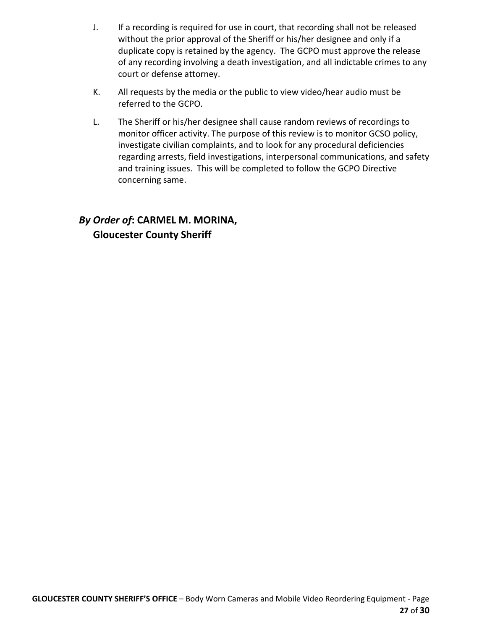- J. If a recording is required for use in court, that recording shall not be released without the prior approval of the Sheriff or his/her designee and only if a duplicate copy is retained by the agency. The GCPO must approve the release of any recording involving a death investigation, and all indictable crimes to any court or defense attorney.
- K. All requests by the media or the public to view video/hear audio must be referred to the GCPO.
- L. The Sheriff or his/her designee shall cause random reviews of recordings to monitor officer activity. The purpose of this review is to monitor GCSO policy, investigate civilian complaints, and to look for any procedural deficiencies regarding arrests, field investigations, interpersonal communications, and safety and training issues. This will be completed to follow the GCPO Directive concerning same.

# *By Order of***: CARMEL M. MORINA, Gloucester County Sheriff**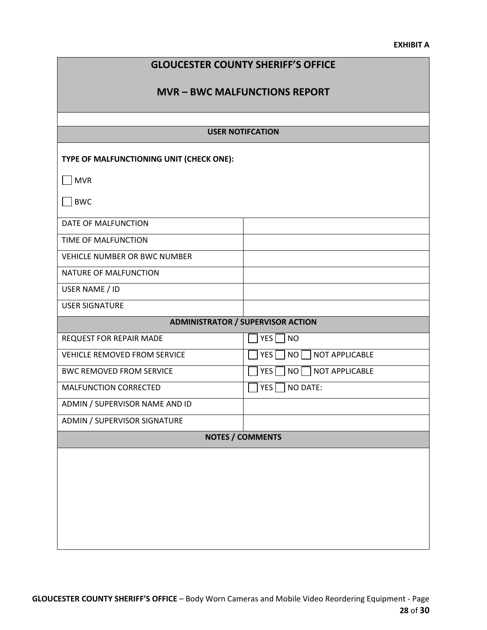#### **EXHIBIT A**

| <b>GLOUCESTER COUNTY SHERIFF'S OFFICE</b> |                                          |  |  |  |  |  |
|-------------------------------------------|------------------------------------------|--|--|--|--|--|
| <b>MVR - BWC MALFUNCTIONS REPORT</b>      |                                          |  |  |  |  |  |
|                                           |                                          |  |  |  |  |  |
| <b>USER NOTIFCATION</b>                   |                                          |  |  |  |  |  |
| TYPE OF MALFUNCTIONING UNIT (CHECK ONE):  |                                          |  |  |  |  |  |
| $\Box$ MVR                                |                                          |  |  |  |  |  |
| BWC                                       |                                          |  |  |  |  |  |
| DATE OF MALFUNCTION                       |                                          |  |  |  |  |  |
| TIME OF MALFUNCTION                       |                                          |  |  |  |  |  |
| <b>VEHICLE NUMBER OR BWC NUMBER</b>       |                                          |  |  |  |  |  |
| NATURE OF MALFUNCTION                     |                                          |  |  |  |  |  |
| USER NAME / ID                            |                                          |  |  |  |  |  |
| <b>USER SIGNATURE</b>                     |                                          |  |  |  |  |  |
|                                           | <b>ADMINISTRATOR / SUPERVISOR ACTION</b> |  |  |  |  |  |
| REQUEST FOR REPAIR MADE                   | YES<br><b>NO</b>                         |  |  |  |  |  |
| <b>VEHICLE REMOVED FROM SERVICE</b>       | NO NOT APPLICABLE<br>YES <sup>[</sup>    |  |  |  |  |  |
| <b>BWC REMOVED FROM SERVICE</b>           | YES<br>NO NOT APPLICABLE                 |  |  |  |  |  |
| MALFUNCTION CORRECTED                     | NO DATE:<br>YES                          |  |  |  |  |  |
| ADMIN / SUPERVISOR NAME AND ID            |                                          |  |  |  |  |  |
| <b>ADMIN / SUPERVISOR SIGNATURE</b>       |                                          |  |  |  |  |  |
| <b>NOTES / COMMENTS</b>                   |                                          |  |  |  |  |  |
|                                           |                                          |  |  |  |  |  |
|                                           |                                          |  |  |  |  |  |
|                                           |                                          |  |  |  |  |  |
|                                           |                                          |  |  |  |  |  |
|                                           |                                          |  |  |  |  |  |
|                                           |                                          |  |  |  |  |  |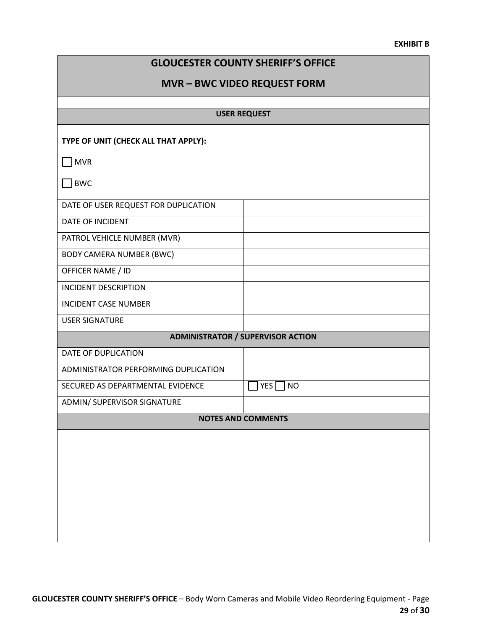#### **EXHIBIT B**

| <b>GLOUCESTER COUNTY SHERIFF'S OFFICE</b> |  |  |  |
|-------------------------------------------|--|--|--|
|-------------------------------------------|--|--|--|

## **MVR – BWC VIDEO REQUEST FORM**

| <b>USER REQUEST</b>                  |                                          |  |  |  |
|--------------------------------------|------------------------------------------|--|--|--|
| TYPE OF UNIT (CHECK ALL THAT APPLY): |                                          |  |  |  |
| $\Box$ MVR                           |                                          |  |  |  |
| <b>BWC</b>                           |                                          |  |  |  |
| DATE OF USER REQUEST FOR DUPLICATION |                                          |  |  |  |
| DATE OF INCIDENT                     |                                          |  |  |  |
| PATROL VEHICLE NUMBER (MVR)          |                                          |  |  |  |
| <b>BODY CAMERA NUMBER (BWC)</b>      |                                          |  |  |  |
| OFFICER NAME / ID                    |                                          |  |  |  |
| <b>INCIDENT DESCRIPTION</b>          |                                          |  |  |  |
| <b>INCIDENT CASE NUMBER</b>          |                                          |  |  |  |
| <b>USER SIGNATURE</b>                |                                          |  |  |  |
|                                      | <b>ADMINISTRATOR / SUPERVISOR ACTION</b> |  |  |  |
| DATE OF DUPLICATION                  |                                          |  |  |  |
| ADMINISTRATOR PERFORMING DUPLICATION |                                          |  |  |  |
| SECURED AS DEPARTMENTAL EVIDENCE     | YES <sup>[</sup><br>$ $ NO               |  |  |  |
| ADMIN/ SUPERVISOR SIGNATURE          |                                          |  |  |  |
| <b>NOTES AND COMMENTS</b>            |                                          |  |  |  |
|                                      |                                          |  |  |  |
|                                      |                                          |  |  |  |
|                                      |                                          |  |  |  |
|                                      |                                          |  |  |  |
|                                      |                                          |  |  |  |
|                                      |                                          |  |  |  |
|                                      |                                          |  |  |  |